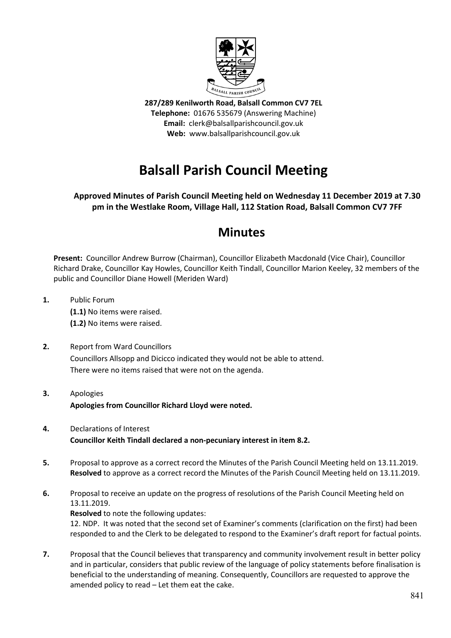

**287/289 Kenilworth Road, Balsall Common CV7 7EL Telephone:** 01676 535679 (Answering Machine) **Email:** clerk@balsallparishcouncil.gov.uk **Web:** www.balsallparishcouncil.gov.uk

# **Balsall Parish Council Meeting**

## **Approved Minutes of Parish Council Meeting held on Wednesday 11 December 2019 at 7.30 pm in the Westlake Room, Village Hall, 112 Station Road, Balsall Common CV7 7FF**

## **Minutes**

**Present:** Councillor Andrew Burrow (Chairman), Councillor Elizabeth Macdonald (Vice Chair), Councillor Richard Drake, Councillor Kay Howles, Councillor Keith Tindall, Councillor Marion Keeley, 32 members of the public and Councillor Diane Howell (Meriden Ward)

- **1.** Public Forum **(1.1)** No items were raised. **(1.2)** No items were raised.
- **2.** Report from Ward Councillors Councillors Allsopp and Dicicco indicated they would not be able to attend. There were no items raised that were not on the agenda.
- **3.** Apologies **Apologies from Councillor Richard Lloyd were noted.**
- **4.** Declarations of Interest **Councillor Keith Tindall declared a non-pecuniary interest in item 8.2.**
- **5.** Proposal to approve as a correct record the Minutes of the Parish Council Meeting held on 13.11.2019. **Resolved** to approve as a correct record the Minutes of the Parish Council Meeting held on 13.11.2019.
- **6.** Proposal to receive an update on the progress of resolutions of the Parish Council Meeting held on 13.11.2019.

**Resolved** to note the following updates:

12. NDP. It was noted that the second set of Examiner's comments (clarification on the first) had been responded to and the Clerk to be delegated to respond to the Examiner's draft report for factual points.

**7.** Proposal that the Council believes that transparency and community involvement result in better policy and in particular, considers that public review of the language of policy statements before finalisation is beneficial to the understanding of meaning. Consequently, Councillors are requested to approve the amended policy to read – Let them eat the cake.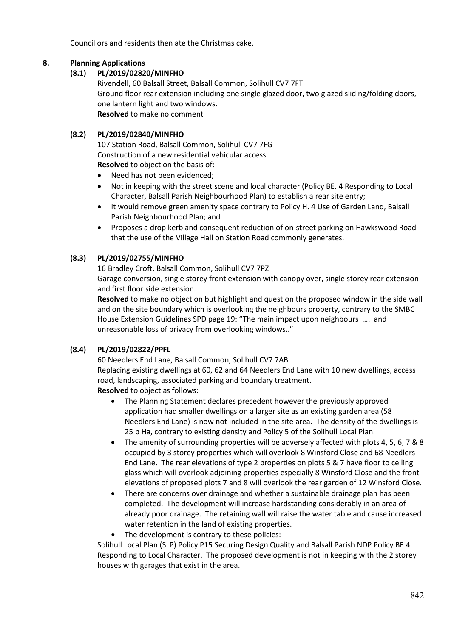Councillors and residents then ate the Christmas cake.

## **8. Planning Applications**

## **(8.1) PL/2019/02820/MINFHO**

Rivendell, 60 Balsall Street, Balsall Common, Solihull CV7 7FT [Ground floor rear extension including one single glazed door, two glazed sliding/folding doors,](https://publicaccess.solihull.gov.uk/online-applications/applicationDetails.do?keyVal=Q0I0Q3OE01100&activeTab=summary)  [one lantern light and two windows.](https://publicaccess.solihull.gov.uk/online-applications/applicationDetails.do?keyVal=Q0I0Q3OE01100&activeTab=summary) **Resolved** to make no comment

## **(8.2) PL/2019/02840/MINFHO**

107 Station Road, Balsall Common, Solihull CV7 7FG [Construction of a new residential vehicular access.](https://publicaccess.solihull.gov.uk/online-applications/applicationDetails.do?keyVal=Q0LAAUOEKIB00&activeTab=summary) **Resolved** to object on the basis of:

- Need has not been evidenced;
- Not in keeping with the street scene and local character (Policy BE. 4 Responding to Local Character, Balsall Parish Neighbourhood Plan) to establish a rear site entry;
- It would remove green amenity space contrary to Policy H. 4 Use of Garden Land, Balsall Parish Neighbourhood Plan; and
- Proposes a drop kerb and consequent reduction of on-street parking on Hawkswood Road that the use of the Village Hall on Station Road commonly generates.

## **(8.3) PL/2019/02755/MINFHO**

16 Bradley Croft, Balsall Common, Solihull CV7 7PZ

[Garage conversion, single storey front extension with canopy over, single storey rear extension](https://publicaccess.solihull.gov.uk/online-applications/applicationDetails.do?keyVal=PZXTWEOEK0Z00&activeTab=summary)  [and first floor side extension.](https://publicaccess.solihull.gov.uk/online-applications/applicationDetails.do?keyVal=PZXTWEOEK0Z00&activeTab=summary)

**Resolved** to make no objection but highlight and question the proposed window in the side wall and on the site boundary which is overlooking the neighbours property, contrary to the SMBC House Extension Guidelines SPD page 19: "The main impact upon neighbours …. and unreasonable loss of privacy from overlooking windows.."

## **(8.4) PL/2019/02822/PPFL**

60 Needlers End Lane, Balsall Common, Solihull CV7 7AB [Replacing existing dwellings at 60, 62 and 64 Needlers End Lane with 10 new dwellings, access](https://publicaccess.solihull.gov.uk/online-applications/applicationDetails.do?keyVal=Q0I7AXOEKFK00&activeTab=summary)  [road, landscaping, associated parking and boundary treatment.](https://publicaccess.solihull.gov.uk/online-applications/applicationDetails.do?keyVal=Q0I7AXOEKFK00&activeTab=summary)

**Resolved** to object as follows:

- The Planning Statement declares precedent however the previously approved application had smaller dwellings on a larger site as an existing garden area (58 Needlers End Lane) is now not included in the site area. The density of the dwellings is 25 p Ha, contrary to existing density and Policy 5 of the Solihull Local Plan.
- The amenity of surrounding properties will be adversely affected with plots 4, 5, 6, 7 & 8 occupied by 3 storey properties which will overlook 8 Winsford Close and 68 Needlers End Lane. The rear elevations of type 2 properties on plots 5 & 7 have floor to ceiling glass which will overlook adjoining properties especially 8 Winsford Close and the front elevations of proposed plots 7 and 8 will overlook the rear garden of 12 Winsford Close.
- There are concerns over drainage and whether a sustainable drainage plan has been completed. The development will increase hardstanding considerably in an area of already poor drainage. The retaining wall will raise the water table and cause increased water retention in the land of existing properties.
- The development is contrary to these policies:

Solihull Local Plan (SLP) Policy P15 Securing Design Quality and Balsall Parish NDP Policy BE.4 Responding to Local Character. The proposed development is not in keeping with the 2 storey houses with garages that exist in the area.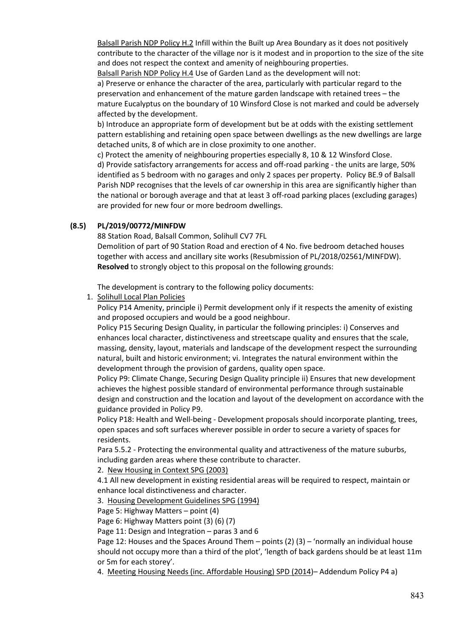Balsall Parish NDP Policy H.2 Infill within the Built up Area Boundary as it does not positively contribute to the character of the village nor is it modest and in proportion to the size of the site and does not respect the context and amenity of neighbouring properties.

Balsall Parish NDP Policy H.4 Use of Garden Land as the development will not:

a) Preserve or enhance the character of the area, particularly with particular regard to the preservation and enhancement of the mature garden landscape with retained trees – the mature Eucalyptus on the boundary of 10 Winsford Close is not marked and could be adversely affected by the development.

b) Introduce an appropriate form of development but be at odds with the existing settlement pattern establishing and retaining open space between dwellings as the new dwellings are large detached units, 8 of which are in close proximity to one another.

c) Protect the amenity of neighbouring properties especially 8, 10 & 12 Winsford Close. d) Provide satisfactory arrangements for access and off-road parking - the units are large, 50% identified as 5 bedroom with no garages and only 2 spaces per property. Policy BE.9 of Balsall Parish NDP recognises that the levels of car ownership in this area are significantly higher than the national or borough average and that at least 3 off-road parking places (excluding garages) are provided for new four or more bedroom dwellings.

## **(8.5) PL/2019/00772/MINFDW**

88 Station Road, Balsall Common, Solihull CV7 7FL

Demolition of part of 90 Station Road and erection of 4 No. five bedroom detached houses together with access and ancillary site works (Resubmission of PL/2018/02561/MINFDW). **Resolved** to strongly object to this proposal on the following grounds:

The development is contrary to the following policy documents:

1. Solihull Local Plan Policies

Policy P14 Amenity, principle i) Permit development only if it respects the amenity of existing and proposed occupiers and would be a good neighbour.

Policy P15 Securing Design Quality, in particular the following principles: i) Conserves and enhances local character, distinctiveness and streetscape quality and ensures that the scale, massing, density, layout, materials and landscape of the development respect the surrounding natural, built and historic environment; vi. Integrates the natural environment within the development through the provision of gardens, quality open space.

Policy P9: Climate Change, Securing Design Quality principle ii) Ensures that new development achieves the highest possible standard of environmental performance through sustainable design and construction and the location and layout of the development on accordance with the guidance provided in Policy P9.

Policy P18: Health and Well-being - Development proposals should incorporate planting, trees, open spaces and soft surfaces wherever possible in order to secure a variety of spaces for residents.

Para 5.5.2 - Protecting the environmental quality and attractiveness of the mature suburbs, including garden areas where these contribute to character.

2. [New Housing in Context SPG \(2003\)](http://www.solihull.gov.uk/Portals/0/Planning/LDF/New_Housing_in_Context_SPG_2003.pdf)

4.1 All new development in existing residential areas will be required to respect, maintain or enhance local distinctiveness and character.

3. [Housing Development Guidelines SPG \(1994\)](http://www.solihull.gov.uk/Portals/0/Planning/Housing_Development_Guidelines.pdf)

Page 5: Highway Matters – point (4)

Page 6: Highway Matters point (3) (6) (7)

Page 11: Design and Integration – paras 3 and 6

Page 12: Houses and the Spaces Around Them – points (2) (3) – 'normally an individual house should not occupy more than a third of the plot', 'length of back gardens should be at least 11m or 5m for each storey'.

4. [Meeting Housing Needs \(inc. Affordable Housing\) SPD \(2014\)–](http://www.solihull.gov.uk/Portals/0/Planning/LDF/Meeting_Housing_Needs_SPD_Final.pdf) Addendum Policy P4 a)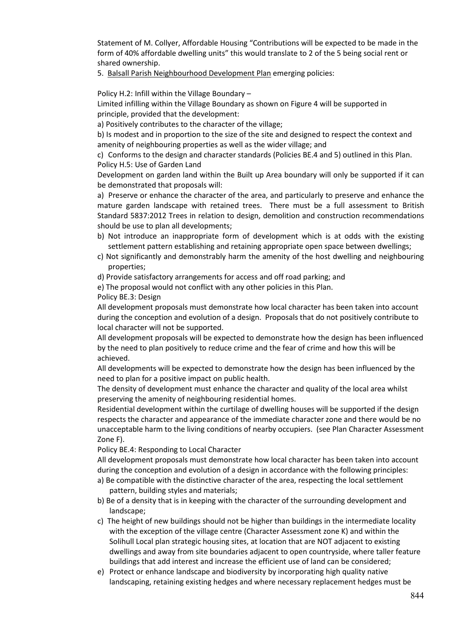Statement of M. Collyer, Affordable Housing "Contributions will be expected to be made in the form of 40% affordable dwelling units" this would translate to 2 of the 5 being social rent or shared ownership.

5. Balsall Parish Neighbourhood Development Plan emerging policies:

Policy H.2: Infill within the Village Boundary –

Limited infilling within the Village Boundary as shown on Figure 4 will be supported in principle, provided that the development:

a) Positively contributes to the character of the village;

b) Is modest and in proportion to the size of the site and designed to respect the context and amenity of neighbouring properties as well as the wider village; and

c) Conforms to the design and character standards (Policies BE.4 and 5) outlined in this Plan. Policy H.5: Use of Garden Land

Development on garden land within the Built up Area boundary will only be supported if it can be demonstrated that proposals will:

a) Preserve or enhance the character of the area, and particularly to preserve and enhance the mature garden landscape with retained trees. There must be a full assessment to British Standard 5837:2012 Trees in relation to design, demolition and construction recommendations should be use to plan all developments;

- b) Not introduce an inappropriate form of development which is at odds with the existing settlement pattern establishing and retaining appropriate open space between dwellings;
- c) Not significantly and demonstrably harm the amenity of the host dwelling and neighbouring properties;
- d) Provide satisfactory arrangements for access and off road parking; and
- e) The proposal would not conflict with any other policies in this Plan.

Policy BE.3: Design

All development proposals must demonstrate how local character has been taken into account during the conception and evolution of a design. Proposals that do not positively contribute to local character will not be supported.

All development proposals will be expected to demonstrate how the design has been influenced by the need to plan positively to reduce crime and the fear of crime and how this will be achieved.

All developments will be expected to demonstrate how the design has been influenced by the need to plan for a positive impact on public health.

The density of development must enhance the character and quality of the local area whilst preserving the amenity of neighbouring residential homes.

Residential development within the curtilage of dwelling houses will be supported if the design respects the character and appearance of the immediate character zone and there would be no unacceptable harm to the living conditions of nearby occupiers. (see Plan Character Assessment Zone F).

Policy BE.4: Responding to Local Character

All development proposals must demonstrate how local character has been taken into account during the conception and evolution of a design in accordance with the following principles:

- a) Be compatible with the distinctive character of the area, respecting the local settlement pattern, building styles and materials;
- b) Be of a density that is in keeping with the character of the surrounding development and landscape;
- c) The height of new buildings should not be higher than buildings in the intermediate locality with the exception of the village centre (Character Assessment zone K) and within the Solihull Local plan strategic housing sites, at location that are NOT adjacent to existing dwellings and away from site boundaries adjacent to open countryside, where taller feature buildings that add interest and increase the efficient use of land can be considered;
- e) Protect or enhance landscape and biodiversity by incorporating high quality native landscaping, retaining existing hedges and where necessary replacement hedges must be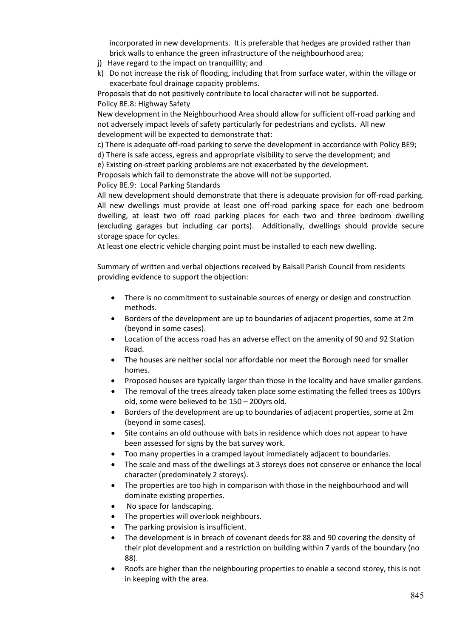incorporated in new developments. It is preferable that hedges are provided rather than brick walls to enhance the green infrastructure of the neighbourhood area;

- j) Have regard to the impact on tranquillity; and
- k) Do not increase the risk of flooding, including that from surface water, within the village or exacerbate foul drainage capacity problems.

Proposals that do not positively contribute to local character will not be supported. Policy BE.8: Highway Safety

New development in the Neighbourhood Area should allow for sufficient off-road parking and not adversely impact levels of safety particularly for pedestrians and cyclists. All new development will be expected to demonstrate that:

c) There is adequate off-road parking to serve the development in accordance with Policy BE9;

d) There is safe access, egress and appropriate visibility to serve the development; and

e) Existing on-street parking problems are not exacerbated by the development.

Proposals which fail to demonstrate the above will not be supported.

Policy BE.9: Local Parking Standards

All new development should demonstrate that there is adequate provision for off-road parking. All new dwellings must provide at least one off-road parking space for each one bedroom dwelling, at least two off road parking places for each two and three bedroom dwelling (excluding garages but including car ports). Additionally, dwellings should provide secure storage space for cycles.

At least one electric vehicle charging point must be installed to each new dwelling.

Summary of written and verbal objections received by Balsall Parish Council from residents providing evidence to support the objection:

- There is no commitment to sustainable sources of energy or design and construction methods.
- Borders of the development are up to boundaries of adjacent properties, some at 2m (beyond in some cases).
- Location of the access road has an adverse effect on the amenity of 90 and 92 Station Road.
- The houses are neither social nor affordable nor meet the Borough need for smaller homes.
- Proposed houses are typically larger than those in the locality and have smaller gardens.
- The removal of the trees already taken place some estimating the felled trees as 100yrs old, some were believed to be 150 – 200yrs old.
- Borders of the development are up to boundaries of adjacent properties, some at 2m (beyond in some cases).
- Site contains an old outhouse with bats in residence which does not appear to have been assessed for signs by the bat survey work.
- Too many properties in a cramped layout immediately adjacent to boundaries.
- The scale and mass of the dwellings at 3 storeys does not conserve or enhance the local character (predominately 2 storeys).
- The properties are too high in comparison with those in the neighbourhood and will dominate existing properties.
- No space for landscaping.
- The properties will overlook neighbours.
- The parking provision is insufficient.
- The development is in breach of covenant deeds for 88 and 90 covering the density of their plot development and a restriction on building within 7 yards of the boundary (no 88).
- Roofs are higher than the neighbouring properties to enable a second storey, this is not in keeping with the area.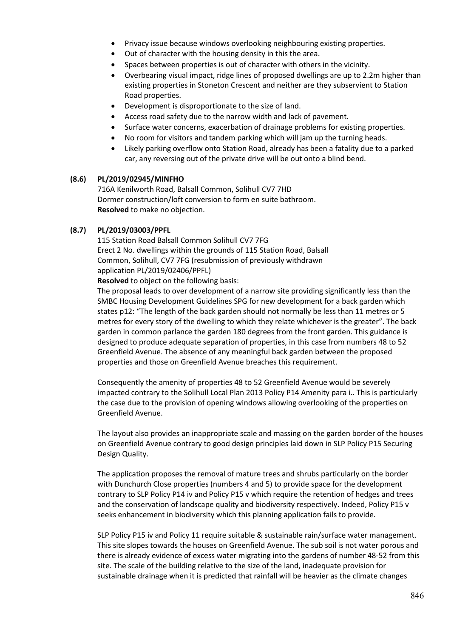- Privacy issue because windows overlooking neighbouring existing properties.
- Out of character with the housing density in this the area.
- Spaces between properties is out of character with others in the vicinity.
- Overbearing visual impact, ridge lines of proposed dwellings are up to 2.2m higher than existing properties in Stoneton Crescent and neither are they subservient to Station Road properties.
- Development is disproportionate to the size of land.
- Access road safety due to the narrow width and lack of pavement.
- Surface water concerns, exacerbation of drainage problems for existing properties.
- No room for visitors and tandem parking which will jam up the turning heads.
- Likely parking overflow onto Station Road, already has been a fatality due to a parked car, any reversing out of the private drive will be out onto a blind bend.

#### **(8.6) PL/2019/02945/MINFHO**

716A Kenilworth Road, Balsall Common, Solihull CV7 7HD Dormer construction/loft conversion to form en suite bathroom. **Resolved** to make no objection.

#### **(8.7) PL/2019/03003/PPFL**

115 Station Road Balsall Common Solihull CV7 7FG Erect 2 No. dwellings within the grounds of 115 Station Road, Balsall Common, Solihull, CV7 7FG (resubmission of previously withdrawn application PL/2019/02406/PPFL)

**Resolved** to object on the following basis:

The proposal leads to over development of a narrow site providing significantly less than the SMBC Housing Development Guidelines SPG for new development for a back garden which states p12: "The length of the back garden should not normally be less than 11 metres or 5 metres for every story of the dwelling to which they relate whichever is the greater". The back garden in common parlance the garden 180 degrees from the front garden. This guidance is designed to produce adequate separation of properties, in this case from numbers 48 to 52 Greenfield Avenue. The absence of any meaningful back garden between the proposed properties and those on Greenfield Avenue breaches this requirement.

Consequently the amenity of properties 48 to 52 Greenfield Avenue would be severely impacted contrary to the Solihull Local Plan 2013 Policy P14 Amenity para i.. This is particularly the case due to the provision of opening windows allowing overlooking of the properties on Greenfield Avenue.

The layout also provides an inappropriate scale and massing on the garden border of the houses on Greenfield Avenue contrary to good design principles laid down in SLP Policy P15 Securing Design Quality.

The application proposes the removal of mature trees and shrubs particularly on the border with Dunchurch Close properties (numbers 4 and 5) to provide space for the development contrary to SLP Policy P14 iv and Policy P15 v which require the retention of hedges and trees and the conservation of landscape quality and biodiversity respectively. Indeed, Policy P15 v seeks enhancement in biodiversity which this planning application fails to provide.

SLP Policy P15 iv and Policy 11 require suitable & sustainable rain/surface water management. This site slopes towards the houses on Greenfield Avenue. The sub soil is not water porous and there is already evidence of excess water migrating into the gardens of number 48-52 from this site. The scale of the building relative to the size of the land, inadequate provision for sustainable drainage when it is predicted that rainfall will be heavier as the climate changes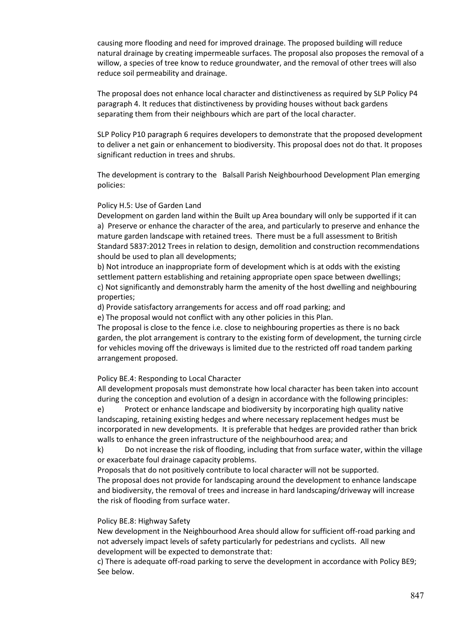causing more flooding and need for improved drainage. The proposed building will reduce natural drainage by creating impermeable surfaces. The proposal also proposes the removal of a willow, a species of tree know to reduce groundwater, and the removal of other trees will also reduce soil permeability and drainage.

The proposal does not enhance local character and distinctiveness as required by SLP Policy P4 paragraph 4. It reduces that distinctiveness by providing houses without back gardens separating them from their neighbours which are part of the local character.

SLP Policy P10 paragraph 6 requires developers to demonstrate that the proposed development to deliver a net gain or enhancement to biodiversity. This proposal does not do that. It proposes significant reduction in trees and shrubs.

The development is contrary to the Balsall Parish Neighbourhood Development Plan emerging policies:

#### Policy H.5: Use of Garden Land

Development on garden land within the Built up Area boundary will only be supported if it can a) Preserve or enhance the character of the area, and particularly to preserve and enhance the mature garden landscape with retained trees. There must be a full assessment to British Standard 5837:2012 Trees in relation to design, demolition and construction recommendations should be used to plan all developments;

b) Not introduce an inappropriate form of development which is at odds with the existing settlement pattern establishing and retaining appropriate open space between dwellings; c) Not significantly and demonstrably harm the amenity of the host dwelling and neighbouring properties;

d) Provide satisfactory arrangements for access and off road parking; and

e) The proposal would not conflict with any other policies in this Plan.

The proposal is close to the fence i.e. close to neighbouring properties as there is no back garden, the plot arrangement is contrary to the existing form of development, the turning circle for vehicles moving off the driveways is limited due to the restricted off road tandem parking arrangement proposed.

#### Policy BE.4: Responding to Local Character

All development proposals must demonstrate how local character has been taken into account during the conception and evolution of a design in accordance with the following principles:

e) Protect or enhance landscape and biodiversity by incorporating high quality native landscaping, retaining existing hedges and where necessary replacement hedges must be incorporated in new developments. It is preferable that hedges are provided rather than brick walls to enhance the green infrastructure of the neighbourhood area; and

k) Do not increase the risk of flooding, including that from surface water, within the village or exacerbate foul drainage capacity problems.

Proposals that do not positively contribute to local character will not be supported.

The proposal does not provide for landscaping around the development to enhance landscape and biodiversity, the removal of trees and increase in hard landscaping/driveway will increase the risk of flooding from surface water.

#### Policy BE.8: Highway Safety

New development in the Neighbourhood Area should allow for sufficient off-road parking and not adversely impact levels of safety particularly for pedestrians and cyclists. All new development will be expected to demonstrate that:

c) There is adequate off-road parking to serve the development in accordance with Policy BE9; See below.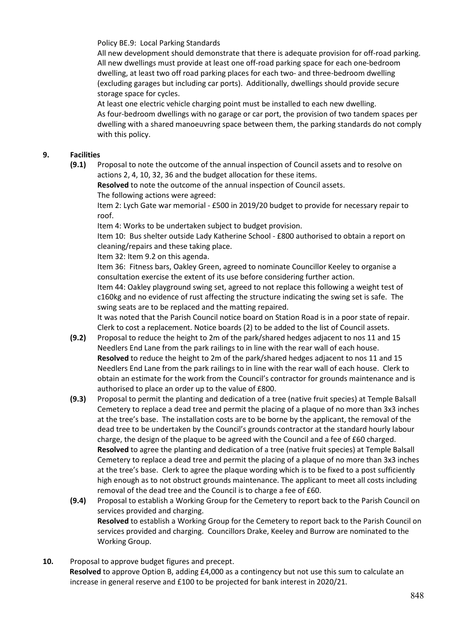Policy BE.9: Local Parking Standards

All new development should demonstrate that there is adequate provision for off-road parking. All new dwellings must provide at least one off-road parking space for each one-bedroom dwelling, at least two off road parking places for each two- and three-bedroom dwelling (excluding garages but including car ports). Additionally, dwellings should provide secure storage space for cycles.

At least one electric vehicle charging point must be installed to each new dwelling. As four-bedroom dwellings with no garage or car port, the provision of two tandem spaces per dwelling with a shared manoeuvring space between them, the parking standards do not comply with this policy.

## **9. Facilities**

**(9.1)** Proposal to note the outcome of the annual inspection of Council assets and to resolve on actions 2, 4, 10, 32, 36 and the budget allocation for these items.

**Resolved** to note the outcome of the annual inspection of Council assets. The following actions were agreed:

Item 2: Lych Gate war memorial - £500 in 2019/20 budget to provide for necessary repair to roof.

Item 4: Works to be undertaken subject to budget provision.

Item 10: Bus shelter outside Lady Katherine School - £800 authorised to obtain a report on cleaning/repairs and these taking place.

Item 32: Item 9.2 on this agenda.

Item 36: Fitness bars, Oakley Green, agreed to nominate Councillor Keeley to organise a consultation exercise the extent of its use before considering further action.

Item 44: Oakley playground swing set, agreed to not replace this following a weight test of c160kg and no evidence of rust affecting the structure indicating the swing set is safe. The swing seats are to be replaced and the matting repaired.

It was noted that the Parish Council notice board on Station Road is in a poor state of repair. Clerk to cost a replacement. Notice boards (2) to be added to the list of Council assets.

- **(9.2)** Proposal to reduce the height to 2m of the park/shared hedges adjacent to nos 11 and 15 Needlers End Lane from the park railings to in line with the rear wall of each house. **Resolved** to reduce the height to 2m of the park/shared hedges adjacent to nos 11 and 15 Needlers End Lane from the park railings to in line with the rear wall of each house. Clerk to obtain an estimate for the work from the Council's contractor for grounds maintenance and is authorised to place an order up to the value of £800.
- **(9.3)** Proposal to permit the planting and dedication of a tree (native fruit species) at Temple Balsall Cemetery to replace a dead tree and permit the placing of a plaque of no more than 3x3 inches at the tree's base. The installation costs are to be borne by the applicant, the removal of the dead tree to be undertaken by the Council's grounds contractor at the standard hourly labour charge, the design of the plaque to be agreed with the Council and a fee of £60 charged. **Resolved** to agree the planting and dedication of a tree (native fruit species) at Temple Balsall Cemetery to replace a dead tree and permit the placing of a plaque of no more than 3x3 inches at the tree's base. Clerk to agree the plaque wording which is to be fixed to a post sufficiently high enough as to not obstruct grounds maintenance. The applicant to meet all costs including removal of the dead tree and the Council is to charge a fee of £60.
- **(9.4)** Proposal to establish a Working Group for the Cemetery to report back to the Parish Council on services provided and charging. **Resolved** to establish a Working Group for the Cemetery to report back to the Parish Council on services provided and charging. Councillors Drake, Keeley and Burrow are nominated to the Working Group.
- **10.** Proposal to approve budget figures and precept. **Resolved** to approve Option B, adding £4,000 as a contingency but not use this sum to calculate an increase in general reserve and £100 to be projected for bank interest in 2020/21.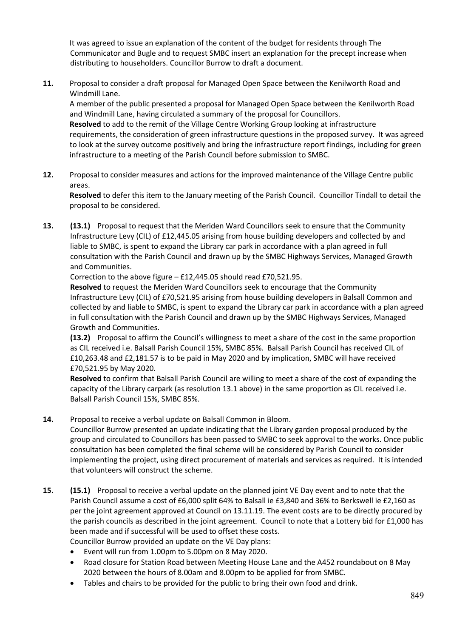It was agreed to issue an explanation of the content of the budget for residents through The Communicator and Bugle and to request SMBC insert an explanation for the precept increase when distributing to householders. Councillor Burrow to draft a document.

**11.** Proposal to consider a draft proposal for Managed Open Space between the Kenilworth Road and Windmill Lane.

A member of the public presented a proposal for Managed Open Space between the Kenilworth Road and Windmill Lane, having circulated a summary of the proposal for Councillors. **Resolved** to add to the remit of the Village Centre Working Group looking at infrastructure requirements, the consideration of green infrastructure questions in the proposed survey. It was agreed to look at the survey outcome positively and bring the infrastructure report findings, including for green infrastructure to a meeting of the Parish Council before submission to SMBC.

**12.** Proposal to consider measures and actions for the improved maintenance of the Village Centre public areas.

**Resolved** to defer this item to the January meeting of the Parish Council. Councillor Tindall to detail the proposal to be considered.

**13. (13.1)** Proposal to request that the Meriden Ward Councillors seek to ensure that the Community Infrastructure Levy (CIL) of £12,445.05 arising from house building developers and collected by and liable to SMBC, is spent to expand the Library car park in accordance with a plan agreed in full consultation with the Parish Council and drawn up by the SMBC Highways Services, Managed Growth and Communities.

Correction to the above figure – £12,445.05 should read £70,521.95.

**Resolved** to request the Meriden Ward Councillors seek to encourage that the Community Infrastructure Levy (CIL) of £70,521.95 arising from house building developers in Balsall Common and collected by and liable to SMBC, is spent to expand the Library car park in accordance with a plan agreed in full consultation with the Parish Council and drawn up by the SMBC Highways Services, Managed Growth and Communities.

**(13.2)** Proposal to affirm the Council's willingness to meet a share of the cost in the same proportion as CIL received i.e. Balsall Parish Council 15%, SMBC 85%. Balsall Parish Council has received CIL of £10,263.48 and £2,181.57 is to be paid in May 2020 and by implication, SMBC will have received £70,521.95 by May 2020.

**Resolved** to confirm that Balsall Parish Council are willing to meet a share of the cost of expanding the capacity of the Library carpark (as resolution 13.1 above) in the same proportion as CIL received i.e. Balsall Parish Council 15%, SMBC 85%.

**14.** Proposal to receive a verbal update on Balsall Common in Bloom.

Councillor Burrow presented an update indicating that the Library garden proposal produced by the group and circulated to Councillors has been passed to SMBC to seek approval to the works. Once public consultation has been completed the final scheme will be considered by Parish Council to consider implementing the project, using direct procurement of materials and services as required. It is intended that volunteers will construct the scheme.

- **15. (15.1)** Proposal to receive a verbal update on the planned joint VE Day event and to note that the Parish Council assume a cost of £6,000 split 64% to Balsall ie £3,840 and 36% to Berkswell ie £2,160 as per the joint agreement approved at Council on 13.11.19. The event costs are to be directly procured by the parish councils as described in the joint agreement. Council to note that a Lottery bid for £1,000 has been made and if successful will be used to offset these costs. Councillor Burrow provided an update on the VE Day plans:
	- Event will run from 1.00pm to 5.00pm on 8 May 2020.
	- Road closure for Station Road between Meeting House Lane and the A452 roundabout on 8 May 2020 between the hours of 8.00am and 8.00pm to be applied for from SMBC.
	- Tables and chairs to be provided for the public to bring their own food and drink.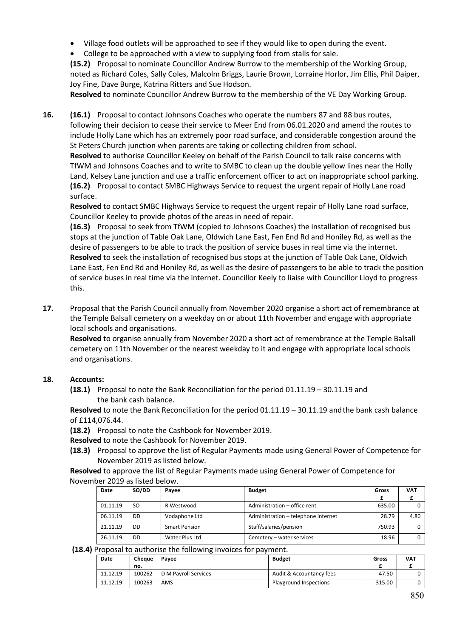- Village food outlets will be approached to see if they would like to open during the event.
- College to be approached with a view to supplying food from stalls for sale.

**(15.2)** Proposal to nominate Councillor Andrew Burrow to the membership of the Working Group, noted as Richard Coles, Sally Coles, Malcolm Briggs, Laurie Brown, Lorraine Horlor, Jim Ellis, Phil Daiper, Joy Fine, Dave Burge, Katrina Ritters and Sue Hodson.

**Resolved** to nominate Councillor Andrew Burrow to the membership of the VE Day Working Group.

**16. (16.1)** Proposal to contact Johnsons Coaches who operate the numbers 87 and 88 bus routes, following their decision to cease their service to Meer End from 06.01.2020 and amend the routes to include Holly Lane which has an extremely poor road surface, and considerable congestion around the St Peters Church junction when parents are taking or collecting children from school.

**Resolved** to authorise Councillor Keeley on behalf of the Parish Council to talk raise concerns with TfWM and Johnsons Coaches and to write to SMBC to clean up the double yellow lines near the Holly Land, Kelsey Lane junction and use a traffic enforcement officer to act on inappropriate school parking. **(16.2)** Proposal to contact SMBC Highways Service to request the urgent repair of Holly Lane road surface.

**Resolved** to contact SMBC Highways Service to request the urgent repair of Holly Lane road surface, Councillor Keeley to provide photos of the areas in need of repair.

**(16.3)** Proposal to seek from TfWM (copied to Johnsons Coaches) the installation of recognised bus stops at the junction of Table Oak Lane, Oldwich Lane East, Fen End Rd and Honiley Rd, as well as the desire of passengers to be able to track the position of service buses in real time via the internet. **Resolved** to seek the installation of recognised bus stops at the junction of Table Oak Lane, Oldwich Lane East, Fen End Rd and Honiley Rd, as well as the desire of passengers to be able to track the position of service buses in real time via the internet. Councillor Keely to liaise with Councillor Lloyd to progress this.

**17.** Proposal that the Parish Council annually from November 2020 organise a short act of remembrance at the Temple Balsall cemetery on a weekday on or about 11th November and engage with appropriate local schools and organisations.

**Resolved** to organise annually from November 2020 a short act of remembrance at the Temple Balsall cemetery on 11th November or the nearest weekday to it and engage with appropriate local schools and organisations.

## **18. Accounts:**

**(18.1)** Proposal to note the Bank Reconciliation for the period 01.11.19 – 30.11.19 and the bank cash balance.

**Resolved** to note the Bank Reconciliation for the period 01.11.19 – 30.11.19 andthe bank cash balance of £114,076.44.

**(18.2)** Proposal to note the Cashbook for November 2019.

**Resolved** to note the Cashbook for November 2019.

**(18.3)** Proposal to approve the list of Regular Payments made using General Power of Competence for November 2019 as listed below.

**Resolved** to approve the list of Regular Payments made using General Power of Competence for November 2019 as listed below.

| Date     | SO/DD | Payee                | <b>Budget</b>                       | Gross  | VAT  |
|----------|-------|----------------------|-------------------------------------|--------|------|
|          | SO.   | R Westwood           | Administration - office rent        | 635.00 |      |
| 01.11.19 |       |                      |                                     |        |      |
| 06.11.19 | DD    | Vodaphone Ltd        | Administration - telephone internet | 28.79  | 4.80 |
| 21.11.19 | DD    | <b>Smart Pension</b> | Staff/salaries/pension              | 750.93 | 0    |
|          |       |                      |                                     |        |      |
| 26.11.19 | DD    | Water Plus Ltd       | Cemetery - water services           | 18.96  | 0    |
|          |       |                      |                                     |        |      |

**(18.4)** Proposal to authorise the following invoices for payment.

| Date     | Cheaue | Pavee                | <b>Budget</b>            | Gross  | <b>VAT</b> |
|----------|--------|----------------------|--------------------------|--------|------------|
|          | no.    |                      |                          |        |            |
| 11.12.19 | 100262 | D M Payroll Services | Audit & Accountancy fees | 47.50  |            |
| 11.12.19 | 100263 | AMS                  | Playground Inspections   | 315.00 |            |